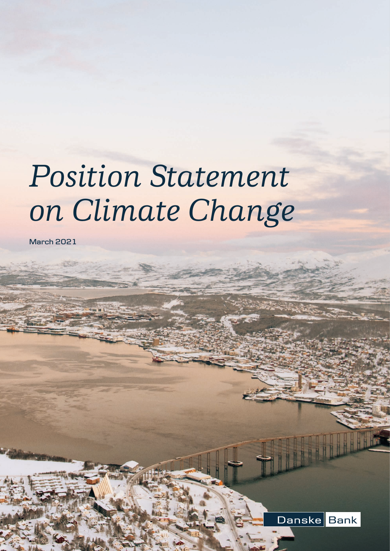# *Position Statement on Climate Change*

**March 2021**

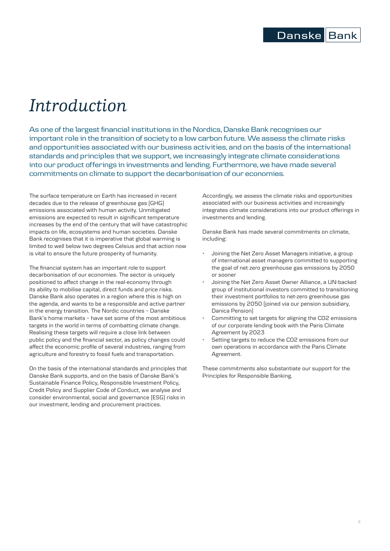# *Introduction*

As one of the largest financial institutions in the Nordics, Danske Bank recognises our important role in the transition of society to a low carbon future. We assess the climate risks and opportunities associated with our business activities, and on the basis of the international standards and principles that we support, we increasingly integrate climate considerations into our product offerings in investments and lending. Furthermore, we have made several commitments on climate to support the decarbonisation of our economies.

The surface temperature on Earth has increased in recent decades due to the release of greenhouse gas (GHG) emissions associated with human activity. Unmitigated emissions are expected to result in significant temperature increases by the end of the century that will have catastrophic impacts on life, ecosystems and human societies. Danske Bank recognises that it is imperative that global warming is limited to well below two degrees Celsius and that action now is vital to ensure the future prosperity of humanity.

The financial system has an important role to support decarbonisation of our economies. The sector is uniquely positioned to affect change in the real-economy through its ability to mobilise capital, direct funds and price risks. Danske Bank also operates in a region where this is high on the agenda, and wants to be a responsible and active partner in the energy transition. The Nordic countries – Danske Bank's home markets – have set some of the most ambitious targets in the world in terms of combatting climate change. Realising these targets will require a close link between public policy and the financial sector, as policy changes could affect the economic profile of several industries, ranging from agriculture and forestry to fossil fuels and transportation.

On the basis of the international standards and principles that Danske Bank supports, and on the basis of Danske Bank's Sustainable Finance Policy, Responsible Investment Policy, Credit Policy and Supplier Code of Conduct, we analyse and consider environmental, social and governance (ESG) risks in our investment, lending and procurement practices.

Accordingly, we assess the climate risks and opportunities associated with our business activities and increasingly integrates climate considerations into our product offerings in investments and lending.

Danske Bank has made several commitments on climate, including:

- Joining the Net Zero Asset Managers initiative, a group of international asset managers committed to supporting the goal of net zero greenhouse gas emissions by 2050 or sooner
- Joining the Net Zero Asset Owner Alliance, a UN-backed group of institutional investors committed to transitioning their investment portfolios to net-zero greenhouse gas emissions by 2050 (joined via our pension subsidiary, Danica Pension)
- Committing to set targets for aligning the CO2 emissions of our corporate lending book with the Paris Climate Agreement by 2023
- Setting targets to reduce the CO2 emissions from our own operations in accordance with the Paris Climate Agreement.

These commitments also substantiate our support for the Principles for Responsible Banking.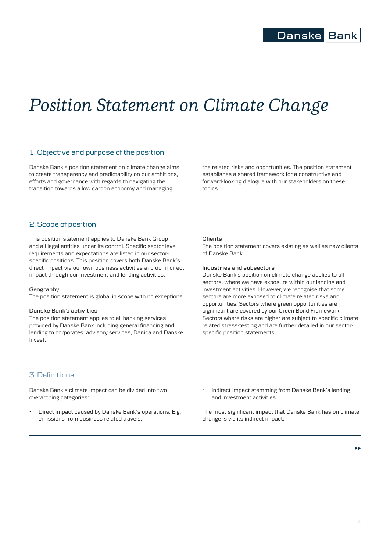# *Position Statement on Climate Change*

# 1. Objective and purpose of the position

Danske Bank's position statement on climate change aims to create transparency and predictability on our ambitions, efforts and governance with regards to navigating the transition towards a low carbon economy and managing

the related risks and opportunities. The position statement establishes a shared framework for a constructive and forward-looking dialogue with our stakeholders on these topics.

# 2. Scope of position

This position statement applies to Danske Bank Group and all legal entities under its control. Specific sector level requirements and expectations are listed in our sectorspecific positions. This position covers both Danske Bank's direct impact via our own business activities and our indirect impact through our investment and lending activities.

#### **Geography**

The position statement is global in scope with no exceptions.

#### **Danske Bank's activities**

The position statement applies to all banking services provided by Danske Bank including general financing and lending to corporates, advisory services, Danica and Danske Invest.

#### **Clients**

The position statement covers existing as well as new clients of Danske Bank.

#### **Industries and subsectors**

Danske Bank's position on climate change applies to all sectors, where we have exposure within our lending and investment activities. However, we recognise that some sectors are more exposed to climate related risks and opportunities. Sectors where green opportunities are significant are covered by our Green Bond Framework. Sectors where risks are higher are subject to specific climate related stress-testing and are further detailed in our sectorspecific position statements.

# 3. Definitions

Danske Bank's climate impact can be divided into two overarching categories:

- Direct impact caused by Danske Bank's operations. E.g. emissions from business related travels.
- Indirect impact stemming from Danske Bank's lending and investment activities.

The most significant impact that Danske Bank has on climate change is via its indirect impact.

Ы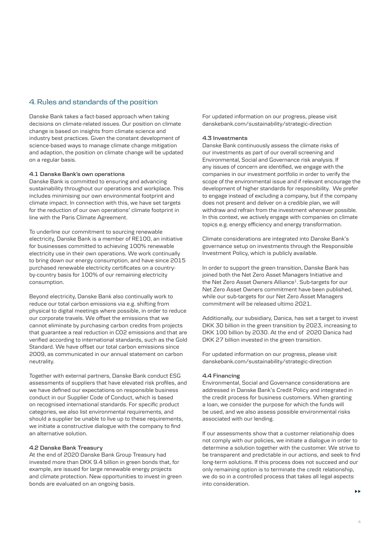# 4. Rules and standards of the position

Danske Bank takes a fact-based approach when taking decisions on climate-related issues. Our position on climate change is based on insights from climate science and industry best practices. Given the constant development of science-based ways to manage climate change mitigation and adaption, the position on climate change will be updated on a regular basis.

#### **4.1 Danske Bank's own operations**

Danske Bank is committed to ensuring and advancing sustainability throughout our operations and workplace. This includes minimising our own environmental footprint and climate impact. In connection with this, we have set targets for the reduction of our own operations' climate footprint in line with the Paris Climate Agreement.

To underline our commitment to sourcing renewable electricity, Danske Bank is a member of RE100, an initiative for businesses committed to achieving 100% renewable electricity use in their own operations. We work continually to bring down our energy consumption, and have since 2015 purchased renewable electricity certificates on a countryby-country basis for 100% of our remaining electricity consumption.

Beyond electricity, Danske Bank also continually work to reduce our total carbon emissions via e.g. shifting from physical to digital meetings where possible, in order to reduce our corporate travels. We offset the emissions that we cannot eliminate by purchasing carbon credits from projects that guarantee a real reduction in CO2 emissions and that are verified according to international standards, such as the Gold Standard. We have offset our total carbon emissions since 2009, as communicated in our annual statement on carbon neutrality.

Together with external partners, Danske Bank conduct ESG assessments of suppliers that have elevated risk profiles, and we have defined our expectations on responsible business conduct in our Supplier Code of Conduct, which is based on recognised international standards. For specific product categories, we also list environmental requirements, and should a supplier be unable to live up to these requirements, we initiate a constructive dialogue with the company to find an alternative solution.

## **4.2 Danske Bank Treasury**

At the end of 2020 Danske Bank Group Treasury had invested more than DKK 9.4 billion in green bonds that, for example, are issued for large renewable energy projects and climate protection. New opportunities to invest in green bonds are evaluated on an ongoing basis.

For updated information on our progress, please visit [danskebank.com/sustainability/strategic-direction](http://danskebank.com/sustainability/strategic-direction)

### **4.3 Investments**

Danske Bank continuously assess the climate risks of our investments as part of our overall screening and Environmental, Social and Governance risk analysis. If any issues of concern are identified, we engage with the companies in our investment portfolio in order to verify the scope of the environmental issue and if relevant encourage the development of higher standards for responsibility. We prefer to engage instead of excluding a company, but if the company does not present and deliver on a credible plan, we will withdraw and refrain from the investment whenever possible. In this context, we actively engage with companies on climate topics e.g. energy efficiency and energy transformation.

Climate considerations are integrated into Danske Bank's governance setup on investments through the Responsible Investment Policy, which is publicly available.

In order to support the green transition, Danske Bank has joined both the Net Zero Asset Managers Initiative and the Net Zero Asset Owners Alliance<sup>1</sup>. Sub-targets for our Net Zero Asset Owners commitment have been published, while our sub-targets for our Net Zero Asset Managers commitment will be released ultimo 2021.

Additionally, our subsidiary, Danica, has set a target to invest DKK 30 billion in the green transition by 2023, increasing to DKK 100 billion by 2030. At the end of 2020 Danica had DKK 27 billion invested in the green transition.

For updated information on our progress, please visit [danskebank.com/sustainability/strategic-direction](http://danskebank.com/sustainability/strategic-direction)

#### **4.4 Financing**

Environmental, Social and Governance considerations are addressed in Danske Bank's Credit Policy and integrated in the credit process for business customers. When granting a loan, we consider the purpose for which the funds will be used, and we also assess possible environmental risks associated with our lending.

If our assessments show that a customer relationship does not comply with our policies, we initiate a dialogue in order to determine a solution together with the customer. We strive to be transparent and predictable in our actions, and seek to find long-term solutions. If this process does not succeed and our only remaining option is to terminate the credit relationship, we do so in a controlled process that takes all legal aspects into consideration.

ы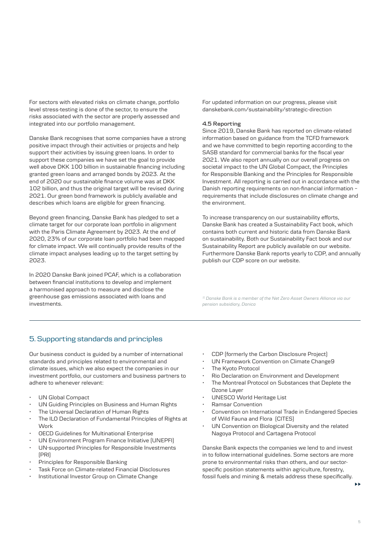For sectors with elevated risks on climate change, portfolio level stress-testing is done of the sector, to ensure the risks associated with the sector are properly assessed and integrated into our portfolio management.

Danske Bank recognises that some companies have a strong positive impact through their activities or projects and help support their activities by issuing green loans. In order to support these companies we have set the goal to provide well above DKK 100 billion in sustainable financing including granted green loans and arranged bonds by 2023. At the end of 2020 our sustainable finance volume was at DKK 102 billion, and thus the original target will be revised during 2021. Our green bond framework is publicly available and describes which loans are eligible for green financing.

Beyond green financing, Danske Bank has pledged to set a climate target for our corporate loan portfolio in alignment with the Paris Climate Agreement by 2023. At the end of 2020, 23% of our corporate loan portfolio had been mapped for climate impact. We will continually provide results of the climate impact analyses leading up to the target setting by 2023.

In 2020 Danske Bank joined PCAF, which is a collaboration between financial institutions to develop and implement a harmonised approach to measure and disclose the greenhouse gas emissions associated with loans and investments.

For updated information on our progress, please visit [danskebank.com/sustainability/strategic-direction](http://danskebank.com/sustainability/strategic-direction ) 

## **4.5 Reporting**

Since 2019, Danske Bank has reported on climate-related information based on guidance from the TCFD framework and we have committed to begin reporting according to the SASB standard for commercial banks for the fiscal year 2021. We also report annually on our overall progress on societal impact to the UN Global Compact, the Principles for Responsible Banking and the Principles for Responsible Investment. All reporting is carried out in accordance with the Danish reporting requirements on non-financial information – requirements that include disclosures on climate change and the environment.

To increase transparency on our sustainability efforts, Danske Bank has created a Sustainability Fact book, which contains both current and historic data from Danske Bank on sustainability. Both our Sustainability Fact book and our Sustainability Report are publicly available on our website. Furthermore Danske Bank reports yearly to CDP, and annually publish our CDP score on our website.

*1) Danske Bank is a member of the Net Zero Asset Owners Alliance via our pension subsidiary, Danica*

# 5. Supporting standards and principles

Our business conduct is guided by a number of international standards and principles related to environmental and climate issues, which we also expect the companies in our investment portfolio, our customers and business partners to adhere to whenever relevant:

- UN Global Compact
- UN Guiding Principles on Business and Human Rights
- The Universal Declaration of Human Rights
- The ILO Declaration of Fundamental Principles of Rights at **Work**
- OECD Guidelines for Multinational Enterprise
- UN Environment Program Finance Initiative (UNEPFI)
- UN-supported Principles for Responsible Investments (PRI)
- Principles for Responsible Banking
- Task Force on Climate-related Financial Disclosures
- Institutional Investor Group on Climate Change
- CDP (formerly the Carbon Disclosure Project)
- UN Framework Convention on Climate Change9
- The Kyoto Protocol
- Rio Declaration on Environment and Development
- The Montreal Protocol on Substances that Deplete the Ozone Layer
- UNESCO World Heritage List
- Ramsar Convention
- Convention on International Trade in Endangered Species of Wild Fauna and Flora (CITES)
- UN Convention on Biological Diversity and the related Nagoya Protocol and Cartagena Protocol

Danske Bank expects the companies we lend to and invest in to follow international guidelines. Some sectors are more prone to environmental risks than others, and our sectorspecific position statements within agriculture, forestry, fossil fuels and mining & metals address these specifically.

ь.